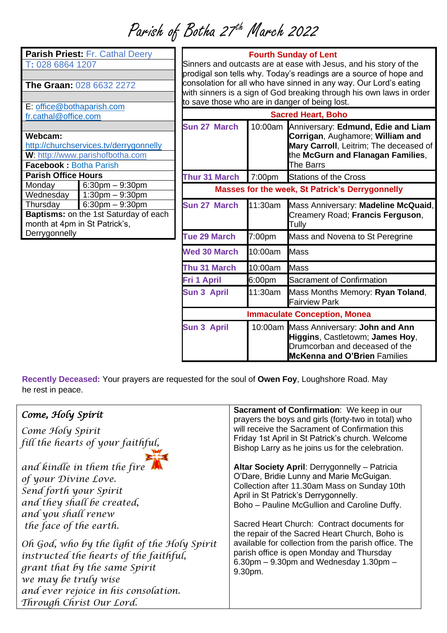Parish of Botha 27<sup>th</sup> March 2022

| Parish Priest: Fr. Cathal Deery         |                      |  |  |
|-----------------------------------------|----------------------|--|--|
| T: 028 6864 1207                        |                      |  |  |
|                                         |                      |  |  |
| <b>The Graan: 028 6632 2272</b>         |                      |  |  |
|                                         |                      |  |  |
| E: office@bothaparish.com               |                      |  |  |
| fr.cathal@office.com                    |                      |  |  |
|                                         |                      |  |  |
| Webcam:                                 |                      |  |  |
| http://churchservices.tv/derrygonnelly  |                      |  |  |
| <b>W</b> : http://www.parishofbotha.com |                      |  |  |
| <b>Facebook: Botha Parish</b>           |                      |  |  |
| <b>Parish Office Hours</b>              |                      |  |  |
| Monday                                  | $6:30$ pm $-9:30$ pm |  |  |
| Wednesday                               | $1:30pm - 9:30pm$    |  |  |
| Thursday                                | $6:30pm - 9:30pm$    |  |  |
| Baptisms: on the 1st Saturday of each   |                      |  |  |
| month at 4pm in St Patrick's,           |                      |  |  |
| Derrygonnelly                           |                      |  |  |
|                                         |                      |  |  |

### **Fourth Sunday of Lent**

Sinners and outcasts are at ease with Jesus, and his story of the prodigal son tells why. Today's readings are a source of hope and consolation for all who have sinned in any way. Our Lord's eating with sinners is a sign of God breaking through his own laws in order to save those who are in danger of being lost.

| $\sigma$ out of those through the direction of soling root. |         |                                                                                                                                                                    |  |
|-------------------------------------------------------------|---------|--------------------------------------------------------------------------------------------------------------------------------------------------------------------|--|
| <b>Sacred Heart, Boho</b>                                   |         |                                                                                                                                                                    |  |
| Sun 27 March                                                | 10:00am | Anniversary: Edmund, Edie and Liam<br>Corrigan, Aughamore; William and<br>Mary Carroll, Leitrim; The deceased of<br>the McGurn and Flanagan Families,<br>The Barrs |  |
| <b>Thur 31 March</b>                                        | 7:00pm  | <b>Stations of the Cross</b>                                                                                                                                       |  |
|                                                             |         | <b>Masses for the week, St Patrick's Derrygonnelly</b>                                                                                                             |  |
| Sun 27 March                                                | 11:30am | Mass Anniversary: Madeline McQuaid,<br>Creamery Road; Francis Ferguson,<br>Tully                                                                                   |  |
| <b>Tue 29 March</b>                                         | 7:00pm  | Mass and Novena to St Peregrine                                                                                                                                    |  |
| <b>Wed 30 March</b>                                         | 10:00am | <b>Mass</b>                                                                                                                                                        |  |
| Thu 31 March                                                | 10:00am | <b>Mass</b>                                                                                                                                                        |  |
| <b>Fri 1 April</b>                                          | 6:00pm  | Sacrament of Confirmation                                                                                                                                          |  |
| <b>Sun 3 April</b>                                          | 11:30am | Mass Months Memory: Ryan Toland,<br><b>Fairview Park</b>                                                                                                           |  |
|                                                             |         | <b>Immaculate Conception, Monea</b>                                                                                                                                |  |
| <b>Sun 3 April</b>                                          |         | 10:00am Mass Anniversary: John and Ann<br>Higgins, Castletowm; James Hoy,<br>Drumcorban and deceased of the<br><b>McKenna and O'Brien Families</b>                 |  |

**Recently Deceased:** Your prayers are requested for the soul of **Owen Foy**, Loughshore Road. May he rest in peace.

| Come, Holy Spirit<br>Come Holy Spirit<br>fill the hearts of your faithful,                                                                                                                                                                                                                                                                                                         | <b>Sacrament of Confirmation: We keep in our</b><br>prayers the boys and girls (forty-two in total) who<br>will receive the Sacrament of Confirmation this<br>Friday 1st April in St Patrick's church. Welcome<br>Bishop Larry as he joins us for the celebration.                                                                                                                                                                                                                                  |
|------------------------------------------------------------------------------------------------------------------------------------------------------------------------------------------------------------------------------------------------------------------------------------------------------------------------------------------------------------------------------------|-----------------------------------------------------------------------------------------------------------------------------------------------------------------------------------------------------------------------------------------------------------------------------------------------------------------------------------------------------------------------------------------------------------------------------------------------------------------------------------------------------|
| and kindle in them the fire<br>of your Divine Love.<br>Send forth your Spirit<br>and they shall be created,<br>and you shall renew<br>the face of the earth.<br>Oh God, who by the light of the Holy Spirit<br>instructed the hearts of the faithful,<br>grant that by the same Spirit<br>we may be truly wise<br>and ever rejoice in his consolation.<br>Through Christ Our Lord. | Altar Society April: Derrygonnelly - Patricia<br>O'Dare, Bridie Lunny and Marie McGuigan.<br>Collection after 11.30am Mass on Sunday 10th<br>April in St Patrick's Derrygonnelly.<br>Boho - Pauline McGullion and Caroline Duffy.<br>Sacred Heart Church: Contract documents for<br>the repair of the Sacred Heart Church, Boho is<br>available for collection from the parish office. The<br>parish office is open Monday and Thursday<br>$6.30$ pm $-9.30$ pm and Wednesday 1.30pm $-$<br>9.30pm. |